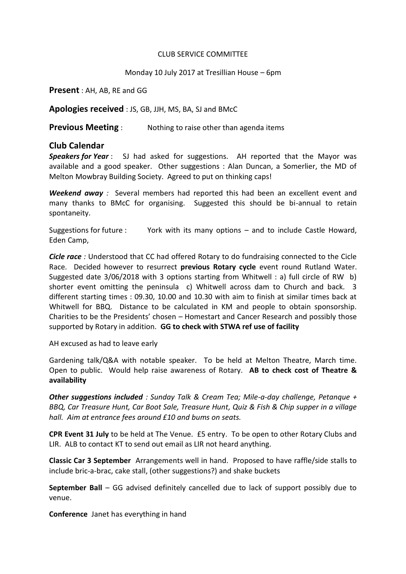## CLUB SERVICE COMMITTEE

## Monday 10 July 2017 at Tresillian House – 6pm

**Present** : AH, AB, RE and GG

**Apologies received** : JS, GB, JJH, MS, BA, SJ and BMcC

**Previous Meeting** : Nothing to raise other than agenda items

## **Club Calendar**

*Speakers for Year* : SJ had asked for suggestions. AH reported that the Mayor was available and a good speaker. Other suggestions : Alan Duncan, a Somerlier, the MD of Melton Mowbray Building Society. Agreed to put on thinking caps!

*Weekend away :* Several members had reported this had been an excellent event and many thanks to BMcC for organising. Suggested this should be bi-annual to retain spontaneity.

Suggestions for future : York with its many options – and to include Castle Howard, Eden Camp,

*Cicle race :* Understood that CC had offered Rotary to do fundraising connected to the Cicle Race. Decided however to resurrect **previous Rotary cycle** event round Rutland Water. Suggested date 3/06/2018 with 3 options starting from Whitwell : a) full circle of RW b) shorter event omitting the peninsula c) Whitwell across dam to Church and back. 3 different starting times : 09.30, 10.00 and 10.30 with aim to finish at similar times back at Whitwell for BBQ. Distance to be calculated in KM and people to obtain sponsorship. Charities to be the Presidents' chosen – Homestart and Cancer Research and possibly those supported by Rotary in addition. **GG to check with STWA ref use of facility**

AH excused as had to leave early

Gardening talk/Q&A with notable speaker*.* To be held at Melton Theatre, March time. Open to public. Would help raise awareness of Rotary. **AB to check cost of Theatre & availability**

*Other suggestions included : Sunday Talk & Cream Tea; Mile-a-day challenge, Petanque + BBQ, Car Treasure Hunt, Car Boot Sale, Treasure Hunt, Quiz & Fish & Chip supper in a village hall. Aim at entrance fees around £10 and bums on seats.*

**CPR Event 31 July** to be held at The Venue. £5 entry. To be open to other Rotary Clubs and LIR. ALB to contact KT to send out email as LIR not heard anything.

**Classic Car 3 September** Arrangements well in hand. Proposed to have raffle/side stalls to include bric-a-brac, cake stall, (other suggestions?) and shake buckets

**September Ball** – GG advised definitely cancelled due to lack of support possibly due to venue.

**Conference** Janet has everything in hand